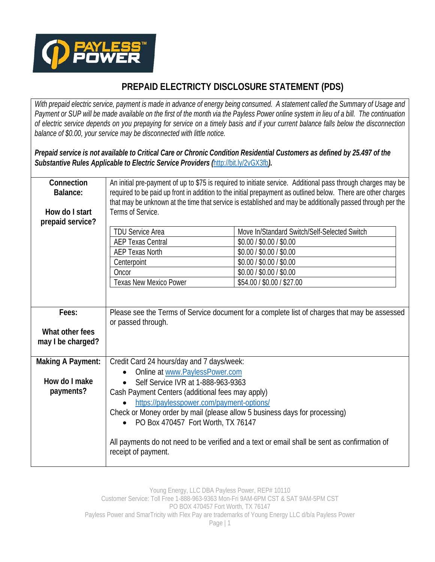

## **PREPAID ELECTRICTY DISCLOSURE STATEMENT (PDS)**

*With prepaid electric service, payment is made in advance of energy being consumed. A statement called the Summary of Usage and Payment or SUP will be made available on the first of the month via the Payless Power online system in lieu of a bill. The continuation of electric service depends on you prepaying for service on a timely basis and if your current balance falls below the disconnection balance of \$0.00, your service may be disconnected with little notice.* 

*Prepaid service is not available to Critical Care or Chronic Condition Residential Customers as defined by 25.497 of the Substantive Rules Applicable to Electric Service Providers (*http://bit.ly/2vGX3fb*).*

| Connection<br>Balance:                                 | An initial pre-payment of up to \$75 is required to initiate service. Additional pass through charges may be<br>required to be paid up front in addition to the initial prepayment as outlined below. There are other charges<br>that may be unknown at the time that service is established and may be additionally passed through per the                                                                                                                                |                                                                                                                                                                                            |
|--------------------------------------------------------|----------------------------------------------------------------------------------------------------------------------------------------------------------------------------------------------------------------------------------------------------------------------------------------------------------------------------------------------------------------------------------------------------------------------------------------------------------------------------|--------------------------------------------------------------------------------------------------------------------------------------------------------------------------------------------|
| How do I start<br>prepaid service?                     | Terms of Service.                                                                                                                                                                                                                                                                                                                                                                                                                                                          |                                                                                                                                                                                            |
|                                                        | <b>TDU Service Area</b><br><b>AEP Texas Central</b><br><b>AEP Texas North</b><br>Centerpoint<br>Oncor<br>Texas New Mexico Power                                                                                                                                                                                                                                                                                                                                            | Move In/Standard Switch/Self-Selected Switch<br>\$0.00 / \$0.00 / \$0.00<br>\$0.00 / \$0.00 / \$0.00<br>\$0.00 / \$0.00 / \$0.00<br>\$0.00 / \$0.00 / \$0.00<br>\$54.00 / \$0.00 / \$27.00 |
| Fees:<br>What other fees<br>may I be charged?          | Please see the Terms of Service document for a complete list of charges that may be assessed<br>or passed through.                                                                                                                                                                                                                                                                                                                                                         |                                                                                                                                                                                            |
| <b>Making A Payment:</b><br>How do I make<br>payments? | Credit Card 24 hours/day and 7 days/week:<br>Online at www.PaylessPower.com<br>Self Service IVR at 1-888-963-9363<br>Cash Payment Centers (additional fees may apply)<br>https://paylesspower.com/payment-options/<br>Check or Money order by mail (please allow 5 business days for processing)<br>PO Box 470457 Fort Worth, TX 76147<br>$\bullet$<br>All payments do not need to be verified and a text or email shall be sent as confirmation of<br>receipt of payment. |                                                                                                                                                                                            |